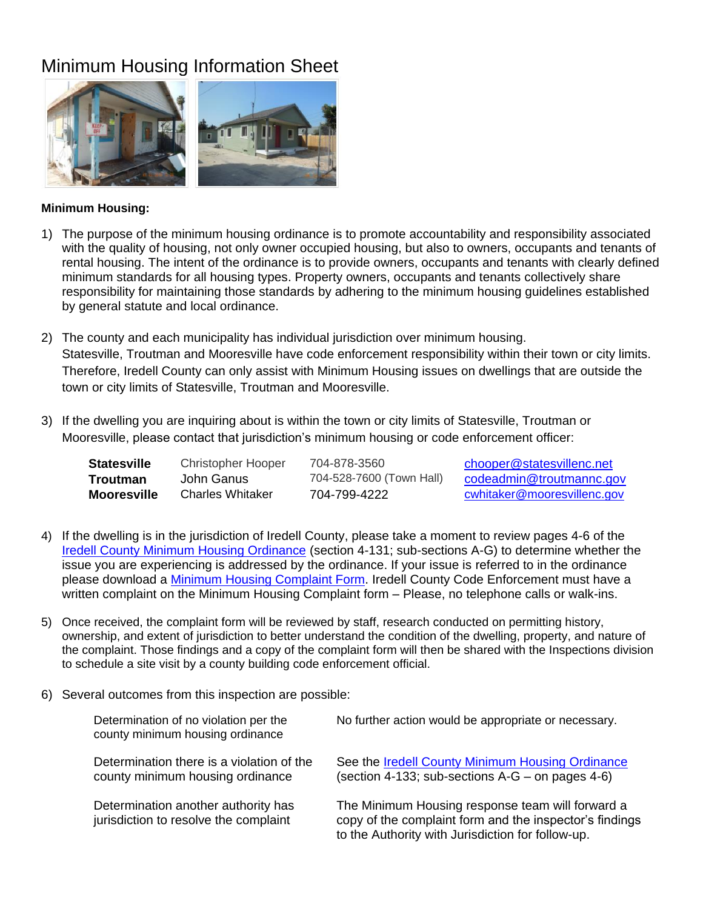## Minimum Housing Information Sheet



## **Minimum Housing:**

- 1) The purpose of the minimum housing ordinance is to promote accountability and responsibility associated with the quality of housing, not only owner occupied housing, but also to owners, occupants and tenants of rental housing. The intent of the ordinance is to provide owners, occupants and tenants with clearly defined minimum standards for all housing types. Property owners, occupants and tenants collectively share responsibility for maintaining those standards by adhering to the minimum housing guidelines established by general statute and local ordinance.
- 2) The county and each municipality has individual jurisdiction over minimum housing. Statesville, Troutman and Mooresville have code enforcement responsibility within their town or city limits. Therefore, Iredell County can only assist with Minimum Housing issues on dwellings that are outside the town or city limits of Statesville, Troutman and Mooresville.
- 3) If the dwelling you are inquiring about is within the town or city limits of Statesville, Troutman or Mooresville, please contact that jurisdiction's minimum housing or code enforcement officer:

| <b>Statesville</b> | Christopher Hooper | 704-878-3560             | chooper@statesvillenc.net   |
|--------------------|--------------------|--------------------------|-----------------------------|
| Troutman           | John Ganus         | 704-528-7600 (Town Hall) | codeadmin@troutmannc.gov    |
| <b>Mooresville</b> | Charles Whitaker   | 704-799-4222             | cwhitaker@mooresvillenc.gov |

- 4) If the dwelling is in the jurisdiction of Iredell County, please take a moment to review pages 4-6 of the [Iredell County Minimum Housing Ordinance](http://www.co.iredell.nc.us/DocumentCenter/View/290/Minimum-Housing-Ordinance) (section 4-131; sub-sections A-G) to determine whether the issue you are experiencing is addressed by the ordinance. If your issue is referred to in the ordinance please download a [Minimum Housing Complaint Form.](http://www.co.iredell.nc.us/DocumentCenter/View/289/Minimum-Housing-Complaint-Form) Iredell County Code Enforcement must have a written complaint on the Minimum Housing Complaint form – Please, no telephone calls or walk-ins.
- 5) Once received, the complaint form will be reviewed by staff, research conducted on permitting history, ownership, and extent of jurisdiction to better understand the condition of the dwelling, property, and nature of the complaint. Those findings and a copy of the complaint form will then be shared with the Inspections division to schedule a site visit by a county building code enforcement official.
- 6) Several outcomes from this inspection are possible:

| Determination of no violation per the<br>county minimum housing ordinance     | No further action would be appropriate or necessary.                                                                                                             |
|-------------------------------------------------------------------------------|------------------------------------------------------------------------------------------------------------------------------------------------------------------|
| Determination there is a violation of the<br>county minimum housing ordinance | See the Iredell County Minimum Housing Ordinance<br>(section 4-133; sub-sections A-G – on pages 4-6)                                                             |
| Determination another authority has<br>jurisdiction to resolve the complaint  | The Minimum Housing response team will forward a<br>copy of the complaint form and the inspector's findings<br>to the Authority with Jurisdiction for follow-up. |